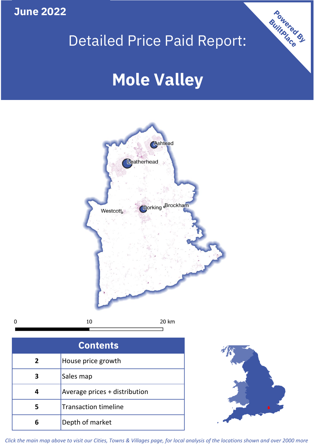**June 2022**

# Detailed Price Paid Report:

# **Mole Valley**



10 20 km  $\mathbf 0$ 

| <b>Contents</b> |                               |  |  |
|-----------------|-------------------------------|--|--|
| $\overline{2}$  | House price growth            |  |  |
|                 | Sales map                     |  |  |
|                 | Average prices + distribution |  |  |
| 5               | <b>Transaction timeline</b>   |  |  |
|                 | Depth of market               |  |  |



Powered By

*Click the main map above to visit our Cities, Towns & Villages page, for local analysis of the locations shown and over 2000 more*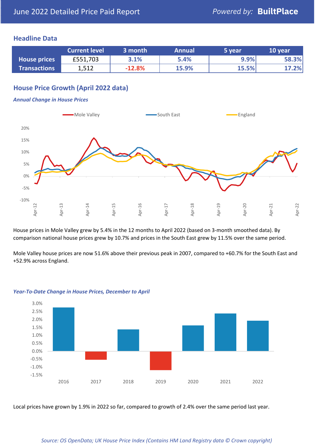### **Headline Data**

|                     | <b>Current level</b> | 3 month  | <b>Annual</b> | 5 year | 10 year |
|---------------------|----------------------|----------|---------------|--------|---------|
| <b>House prices</b> | £551,703             | 3.1%     | 5.4%          | 9.9%   | 58.3%   |
| <b>Transactions</b> | 1,512                | $-12.8%$ | 15.9%         | 15.5%  | 17.2%   |

# **House Price Growth (April 2022 data)**

#### *Annual Change in House Prices*



House prices in Mole Valley grew by 5.4% in the 12 months to April 2022 (based on 3-month smoothed data). By comparison national house prices grew by 10.7% and prices in the South East grew by 11.5% over the same period.

Mole Valley house prices are now 51.6% above their previous peak in 2007, compared to +60.7% for the South East and +52.9% across England.



#### *Year-To-Date Change in House Prices, December to April*

Local prices have grown by 1.9% in 2022 so far, compared to growth of 2.4% over the same period last year.

#### *Source: OS OpenData; UK House Price Index (Contains HM Land Registry data © Crown copyright)*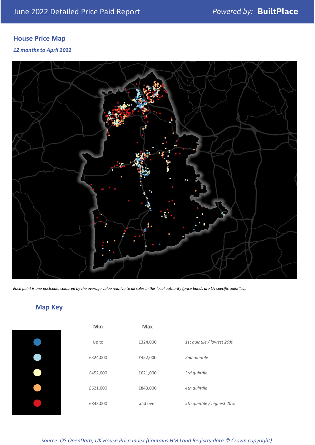# **House Price Map**

*12 months to April 2022*



*Each point is one postcode, coloured by the average value relative to all sales in this local authority (price bands are LA-specific quintiles).*

# **Map Key**

| Ŋ   |
|-----|
| U   |
| £32 |
| £45 |
| £62 |
| £84 |

| Min      | <b>Max</b> |                            |
|----------|------------|----------------------------|
| Up to    | £324,000   | 1st quintile / lowest 20%  |
| £324,000 | £452,000   | 2nd quintile               |
| £452,000 | £621,000   | 3rd quintile               |
| £621,000 | £843,000   | 4th quintile               |
| £843,000 | and over   | 5th quintile / highest 20% |

*Source: OS OpenData; UK House Price Index (Contains HM Land Registry data © Crown copyright)*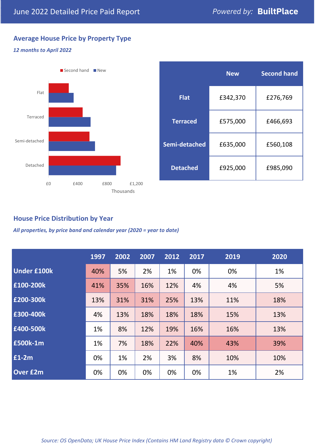# **Average House Price by Property Type**

#### *12 months to April 2022*



|                 | <b>New</b> | <b>Second hand</b> |  |  |
|-----------------|------------|--------------------|--|--|
| <b>Flat</b>     | £342,370   | £276,769           |  |  |
| <b>Terraced</b> | £575,000   | £466,693           |  |  |
| Semi-detached   | £635,000   | £560,108           |  |  |
| <b>Detached</b> | £925,000   | £985,090           |  |  |

# **House Price Distribution by Year**

*All properties, by price band and calendar year (2020 = year to date)*

|                    | 1997 | 2002 | 2007 | 2012 | 2017 | 2019 | 2020 |
|--------------------|------|------|------|------|------|------|------|
| <b>Under £100k</b> | 40%  | 5%   | 2%   | 1%   | 0%   | 0%   | 1%   |
| £100-200k          | 41%  | 35%  | 16%  | 12%  | 4%   | 4%   | 5%   |
| E200-300k          | 13%  | 31%  | 31%  | 25%  | 13%  | 11%  | 18%  |
| £300-400k          | 4%   | 13%  | 18%  | 18%  | 18%  | 15%  | 13%  |
| £400-500k          | 1%   | 8%   | 12%  | 19%  | 16%  | 16%  | 13%  |
| <b>£500k-1m</b>    | 1%   | 7%   | 18%  | 22%  | 40%  | 43%  | 39%  |
| £1-2m              | 0%   | 1%   | 2%   | 3%   | 8%   | 10%  | 10%  |
| <b>Over £2m</b>    | 0%   | 0%   | 0%   | 0%   | 0%   | 1%   | 2%   |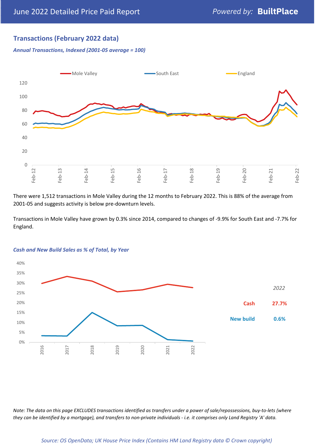# **Transactions (February 2022 data)**

*Annual Transactions, Indexed (2001-05 average = 100)*



There were 1,512 transactions in Mole Valley during the 12 months to February 2022. This is 88% of the average from 2001-05 and suggests activity is below pre-downturn levels.

Transactions in Mole Valley have grown by 0.3% since 2014, compared to changes of -9.9% for South East and -7.7% for England.



#### *Cash and New Build Sales as % of Total, by Year*

*Note: The data on this page EXCLUDES transactions identified as transfers under a power of sale/repossessions, buy-to-lets (where they can be identified by a mortgage), and transfers to non-private individuals - i.e. it comprises only Land Registry 'A' data.*